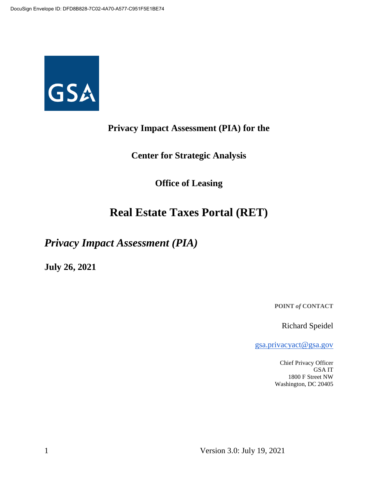

## **Privacy Impact Assessment (PIA) for the**

**Center for Strategic Analysis**

**Office of Leasing**

# **Real Estate Taxes Portal (RET)**

*Privacy Impact Assessment (PIA)*

**July 26, 2021**

**POINT** *of* **CONTACT**

Richard Speidel

gsa.privacyact@gsa.gov

Chief Privacy Officer GSA IT 1800 F Street NW Washington, DC 20405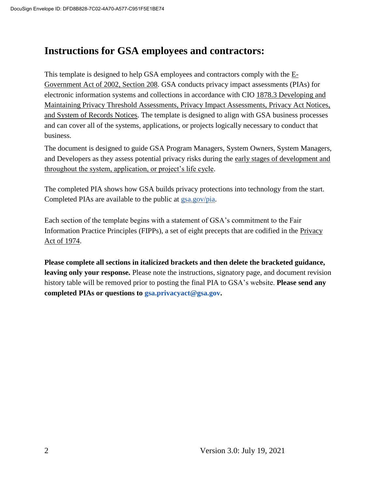# **Instructions for GSA employees and contractors:**

This template is designed to help GSA employees and contractors comply with the  $E$ -Government Act of 2002, Section 208. GSA conducts privacy impact assessments (PIAs) for electronic information systems and collections in accordance with CIO 1878.3 Developing and Maintaining Privacy Threshold Assessments, Privacy Impact Assessments, Privacy Act Notices, and System of Records Notices. The template is designed to align with GSA business processes and can cover all of the systems, applications, or projects logically necessary to conduct that business.

The document is designed to guide GSA Program Managers, System Owners, System Managers, and Developers as they assess potential privacy risks during the early stages of development and throughout the system, application, or project's life cycle.

The completed PIA shows how GSA builds privacy protections into technology from the start. Completed PIAs are available to the public at gsa.gov/pia.

Each section of the template begins with a statement of GSA's commitment to the Fair Information Practice Principles (FIPPs), a set of eight precepts that are codified in the Privacy Act of 1974.

**Please complete all sections in italicized brackets and then delete the bracketed guidance, leaving only your response.** Please note the instructions, signatory page, and document revision history table will be removed prior to posting the final PIA to GSA's website. **Please send any completed PIAs or questions to gsa.privacyact@gsa.gov.**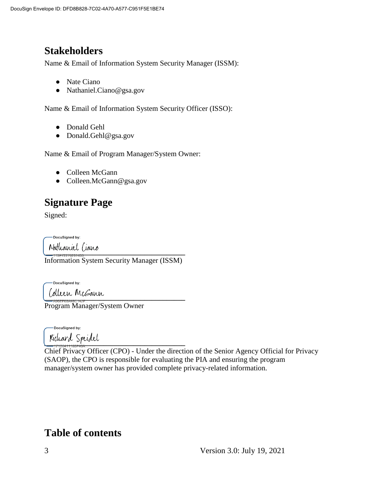# **Stakeholders**

Name & Email of Information System Security Manager (ISSM):

- Nate Ciano
- Nathaniel.Ciano@gsa.gov

Name & Email of Information System Security Officer (ISSO):

- Donald Gehl
- Donald.Gehl@gsa.gov

Name & Email of Program Manager/System Owner:

- Colleen McGann
- Colleen.McGann@gsa.gov

# **Signature Page**

Signed:

DocuSianed by:

Nathaniel Ciano<br>————————————————————

Information System Security Manager (ISSM)

DocuSigned by: **\_\_\_\_\_\_\_\_\_\_\_\_\_\_\_\_\_\_\_\_\_\_\_\_\_\_\_\_\_\_\_\_\_\_\_\_\_\_**

Program Manager/System Owner

DocuSigned by: **\_\_\_\_\_\_\_\_\_\_\_\_\_\_\_\_\_\_\_\_\_\_\_\_\_\_\_\_\_\_\_\_\_\_\_\_\_\_**

Chief Privacy Officer (CPO) - Under the direction of the Senior Agency Official for Privacy (SAOP), the CPO is responsible for evaluating the PIA and ensuring the program manager/system owner has provided complete privacy-related information.

# **Table of contents**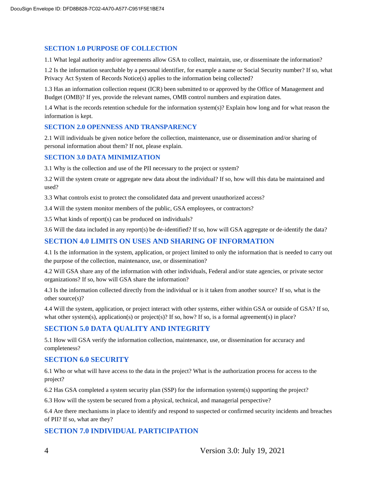#### **SECTION 1.0 PURPOSE OF COLLECTION**

1.1 What legal authority and/or agreements allow GSA to collect, maintain, use, or disseminate the information?

1.2 Is the information searchable by a personal identifier, for example a name or Social Security number? If so, what Privacy Act System of Records Notice(s) applies to the information being collected?

1.3 Has an information collection request (ICR) been submitted to or approved by the Office of Management and Budget (OMB)? If yes, provide the relevant names, OMB control numbers and expiration dates.

1.4 What is the records retention schedule for the information system(s)? Explain how long and for what reason the information is kept.

#### **SECTION 2.0 OPENNESS AND TRANSPARENCY**

2.1 Will individuals be given notice before the collection, maintenance, use or dissemination and/or sharing of personal information about them? If not, please explain.

#### **SECTION 3.0 DATA MINIMIZATION**

3.1 Why is the collection and use of the PII necessary to the project or system?

3.2 Will the system create or aggregate new data about the individual? If so, how will this data be maintained and used?

3.3 What controls exist to protect the consolidated data and prevent unauthorized access?

3.4 Will the system monitor members of the public, GSA employees, or contractors?

3.5 What kinds of report(s) can be produced on individuals?

3.6 Will the data included in any report(s) be de-identified? If so, how will GSA aggregate or de-identify the data?

#### **SECTION 4.0 LIMITS ON USES AND SHARING OF INFORMATION**

4.1 Is the information in the system, application, or project limited to only the information that is needed to carry out the purpose of the collection, maintenance, use, or dissemination?

4.2 Will GSA share any of the information with other individuals, Federal and/or state agencies, or private sector organizations? If so, how will GSA share the information?

4.3 Is the information collected directly from the individual or is it taken from another source? If so, what is the other source(s)?

4.4 Will the system, application, or project interact with other systems, either within GSA or outside of GSA? If so, what other system(s), application(s) or project(s)? If so, how? If so, is a formal agreement(s) in place?

#### **SECTION 5.0 DATA QUALITY AND INTEGRITY**

5.1 How will GSA verify the information collection, maintenance, use, or dissemination for accuracy and completeness?

#### **SECTION 6.0 SECURITY**

6.1 Who or what will have access to the data in the project? What is the authorization process for access to the project?

6.2 Has GSA completed a system security plan (SSP) for the information system(s) supporting the project?

6.3 How will the system be secured from a physical, technical, and managerial perspective?

6.4 Are there mechanisms in place to identify and respond to suspected or confirmed security incidents and breaches of PII? If so, what are they?

#### **SECTION 7.0 INDIVIDUAL PARTICIPATION**

4 Version 3.0: July 19, 2021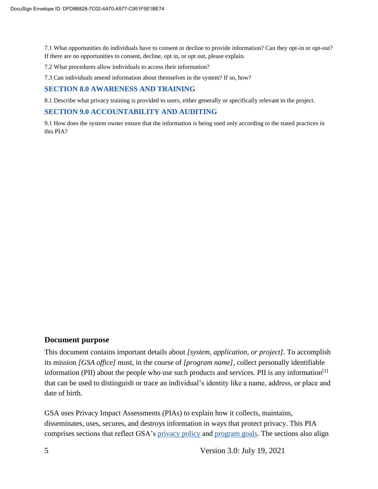7.1 What opportunities do individuals have to consent or decline to provide information? Can they opt-in or opt-out? If there are no opportunities to consent, decline, opt in, or opt out, please explain.

7.2 What procedures allow individuals to access their information?

7.3 Can individuals amend information about themselves in the system? If so, how?

#### **SECTION 8.0 AWARENESS AND TRAINING**

8.1 Describe what privacy training is provided to users, either generally or specifically relevant to the project.

#### **SECTION 9.0 ACCOUNTABILITY AND AUDITING**

9.1 How does the system owner ensure that the information is being used only according to the stated practices in this PIA?

#### **Document purpose**

This document contains important details about *[system, application, or project].* To accomplish its mission *[GSA office]* must, in the course of *[program name]*, collect personally identifiable information (PII) about the people who use such products and services. PII is any information<sup>[1]</sup> that can be used to distinguish or trace an individual's identity like a name, address, or place and date of birth.

GSA uses Privacy Impact Assessments (PIAs) to explain how it collects, maintains, disseminates, uses, secures, and destroys information in ways that protect privacy. This PIA comprises sections that reflect GSA's privacy policy and program goals. The sections also align

5 Version 3.0: July 19, 2021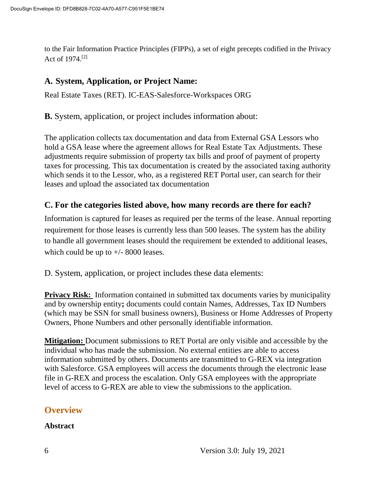to the Fair Information Practice Principles (FIPPs), a set of eight precepts codified in the Privacy Act of 1974.[2]

### **A. System, Application, or Project Name:**

Real Estate Taxes (RET). IC-EAS-Salesforce-Workspaces ORG

**B.** System, application, or project includes information about:

The application collects tax documentation and data from External GSA Lessors who hold a GSA lease where the agreement allows for Real Estate Tax Adjustments. These adjustments require submission of property tax bills and proof of payment of property taxes for processing. This tax documentation is created by the associated taxing authority which sends it to the Lessor, who, as a registered RET Portal user, can search for their leases and upload the associated tax documentation

### **C. For the categories listed above, how many records are there for each?**

Information is captured for leases as required per the terms of the lease. Annual reporting requirement for those leases is currently less than 500 leases. The system has the ability to handle all government leases should the requirement be extended to additional leases, which could be up to  $+/- 8000$  leases.

D. System, application, or project includes these data elements:

**Privacy Risk:** Information contained in submitted tax documents varies by municipality and by ownership entity**;** documents could contain Names, Addresses, Tax ID Numbers (which may be SSN for small business owners), Business or Home Addresses of Property Owners, Phone Numbers and other personally identifiable information.

**Mitigation:** Document submissions to RET Portal are only visible and accessible by the individual who has made the submission. No external entities are able to access information submitted by others. Documents are transmitted to G-REX via integration with Salesforce. GSA employees will access the documents through the electronic lease file in G-REX and process the escalation. Only GSA employees with the appropriate level of access to G-REX are able to view the submissions to the application.

### **Overview**

**Abstract**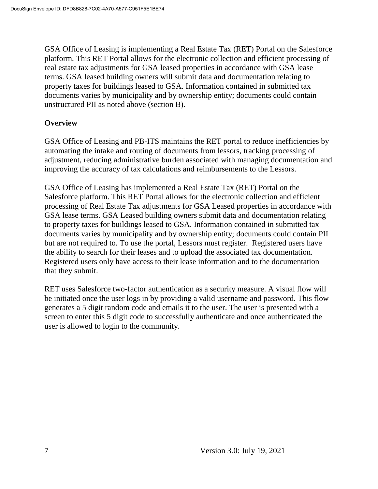GSA Office of Leasing is implementing a Real Estate Tax (RET) Portal on the Salesforce platform. This RET Portal allows for the electronic collection and efficient processing of real estate tax adjustments for GSA leased properties in accordance with GSA lease terms. GSA leased building owners will submit data and documentation relating to property taxes for buildings leased to GSA. Information contained in submitted tax documents varies by municipality and by ownership entity; documents could contain unstructured PII as noted above (section B).

#### **Overview**

GSA Office of Leasing and PB-ITS maintains the RET portal to reduce inefficiencies by automating the intake and routing of documents from lessors, tracking processing of adjustment, reducing administrative burden associated with managing documentation and improving the accuracy of tax calculations and reimbursements to the Lessors.

GSA Office of Leasing has implemented a Real Estate Tax (RET) Portal on the Salesforce platform. This RET Portal allows for the electronic collection and efficient processing of Real Estate Tax adjustments for GSA Leased properties in accordance with GSA lease terms. GSA Leased building owners submit data and documentation relating to property taxes for buildings leased to GSA. Information contained in submitted tax documents varies by municipality and by ownership entity; documents could contain PII but are not required to. To use the portal, Lessors must register. Registered users have the ability to search for their leases and to upload the associated tax documentation. Registered users only have access to their lease information and to the documentation that they submit.

RET uses Salesforce two-factor authentication as a security measure. A visual flow will be initiated once the user logs in by providing a valid username and password. This flow generates a 5 digit random code and emails it to the user. The user is presented with a screen to enter this 5 digit code to successfully authenticate and once authenticated the user is allowed to login to the community.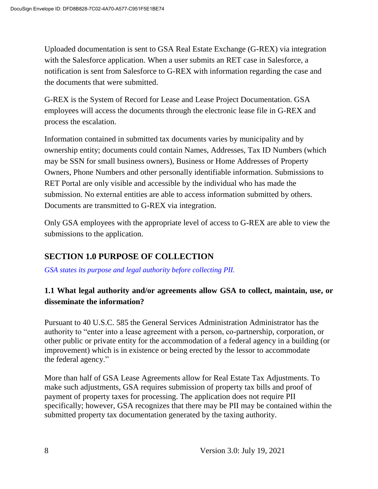Uploaded documentation is sent to GSA Real Estate Exchange (G-REX) via integration with the Salesforce application. When a user submits an RET case in Salesforce, a notification is sent from Salesforce to G-REX with information regarding the case and the documents that were submitted.

G-REX is the System of Record for Lease and Lease Project Documentation. GSA employees will access the documents through the electronic lease file in G-REX and process the escalation.

Information contained in submitted tax documents varies by municipality and by ownership entity; documents could contain Names, Addresses, Tax ID Numbers (which may be SSN for small business owners), Business or Home Addresses of Property Owners, Phone Numbers and other personally identifiable information. Submissions to RET Portal are only visible and accessible by the individual who has made the submission. No external entities are able to access information submitted by others. Documents are transmitted to G-REX via integration.

Only GSA employees with the appropriate level of access to G-REX are able to view the submissions to the application.

## **SECTION 1.0 PURPOSE OF COLLECTION**

*GSA states its purpose and legal authority before collecting PII.*

## **1.1 What legal authority and/or agreements allow GSA to collect, maintain, use, or disseminate the information?**

Pursuant to 40 U.S.C. 585 the General Services Administration Administrator has the authority to "enter into a lease agreement with a person, co-partnership, corporation, or other public or private entity for the accommodation of a federal agency in a building (or improvement) which is in existence or being erected by the lessor to accommodate the federal agency."

More than half of GSA Lease Agreements allow for Real Estate Tax Adjustments. To make such adjustments, GSA requires submission of property tax bills and proof of payment of property taxes for processing. The application does not require PII specifically; however, GSA recognizes that there may be PII may be contained within the submitted property tax documentation generated by the taxing authority.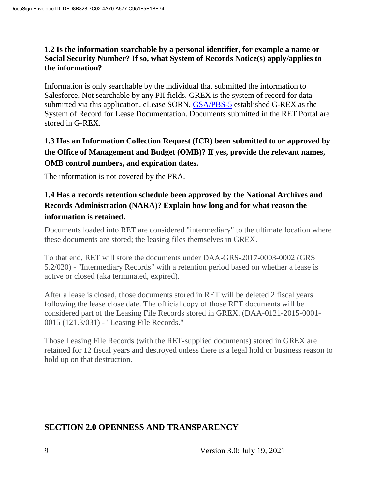#### **1.2 Is the information searchable by a personal identifier, for example a name or Social Security Number? If so, what System of Records Notice(s) apply/applies to the information?**

Information is only searchable by the individual that submitted the information to Salesforce. Not searchable by any PII fields. GREX is the system of record for data submitted via this application. eLease SORN, GSA/PBS-5 established G-REX as the System of Record for Lease Documentation. Documents submitted in the RET Portal are stored in G-REX.

## **1.3 Has an Information Collection Request (ICR) been submitted to or approved by the Office of Management and Budget (OMB)? If yes, provide the relevant names, OMB control numbers, and expiration dates.**

The information is not covered by the PRA.

### **1.4 Has a records retention schedule been approved by the National Archives and Records Administration (NARA)? Explain how long and for what reason the information is retained.**

Documents loaded into RET are considered "intermediary" to the ultimate location where these documents are stored; the leasing files themselves in GREX.

To that end, RET will store the documents under DAA-GRS-2017-0003-0002 (GRS 5.2/020) - "Intermediary Records" with a retention period based on whether a lease is active or closed (aka terminated, expired).

After a lease is closed, those documents stored in RET will be deleted 2 fiscal years following the lease close date. The official copy of those RET documents will be considered part of the Leasing File Records stored in GREX. (DAA-0121-2015-0001- 0015 (121.3/031) - "Leasing File Records."

Those Leasing File Records (with the RET-supplied documents) stored in GREX are retained for 12 fiscal years and destroyed unless there is a legal hold or business reason to hold up on that destruction.

### **SECTION 2.0 OPENNESS AND TRANSPARENCY**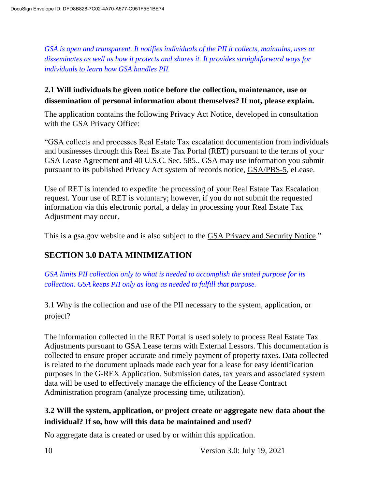*GSA is open and transparent. It notifies individuals of the PII it collects, maintains, uses or disseminates as well as how it protects and shares it. It provides straightforward ways for individuals to learn how GSA handles PII.*

### **2.1 Will individuals be given notice before the collection, maintenance, use or dissemination of personal information about themselves? If not, please explain.**

The application contains the following Privacy Act Notice, developed in consultation with the GSA Privacy Office:

"GSA collects and processes Real Estate Tax escalation documentation from individuals and businesses through this Real Estate Tax Portal (RET) pursuant to the terms of your GSA Lease Agreement and 40 U.S.C. Sec. 585.. GSA may use information you submit pursuant to its published Privacy Act system of records notice, GSA/PBS-5, eLease.

Use of RET is intended to expedite the processing of your Real Estate Tax Escalation request. Your use of RET is voluntary; however, if you do not submit the requested information via this electronic portal, a delay in processing your Real Estate Tax Adjustment may occur.

This is a gsa.gov website and is also subject to the **GSA Privacy and Security Notice.**"

## **SECTION 3.0 DATA MINIMIZATION**

*GSA limits PII collection only to what is needed to accomplish the stated purpose for its collection. GSA keeps PII only as long as needed to fulfill that purpose.*

3.1 Why is the collection and use of the PII necessary to the system, application, or project?

The information collected in the RET Portal is used solely to process Real Estate Tax Adjustments pursuant to GSA Lease terms with External Lessors. This documentation is collected to ensure proper accurate and timely payment of property taxes. Data collected is related to the document uploads made each year for a lease for easy identification purposes in the G-REX Application. Submission dates, tax years and associated system data will be used to effectively manage the efficiency of the Lease Contract Administration program (analyze processing time, utilization).

## **3.2 Will the system, application, or project create or aggregate new data about the individual? If so, how will this data be maintained and used?**

No aggregate data is created or used by or within this application.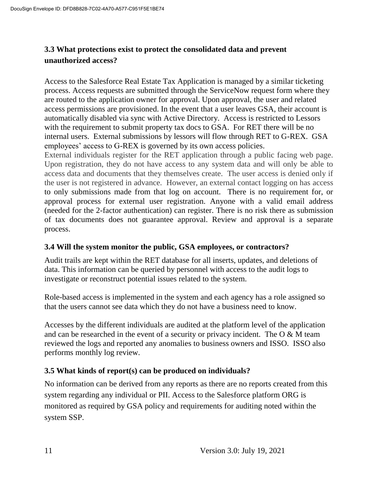## **3.3 What protections exist to protect the consolidated data and prevent unauthorized access?**

Access to the Salesforce Real Estate Tax Application is managed by a similar ticketing process. Access requests are submitted through the ServiceNow request form where they are routed to the application owner for approval. Upon approval, the user and related access permissions are provisioned. In the event that a user leaves GSA, their account is automatically disabled via sync with Active Directory. Access is restricted to Lessors with the requirement to submit property tax docs to GSA. For RET there will be no internal users. External submissions by lessors will flow through RET to G-REX. GSA employees' access to G-REX is governed by its own access policies.

External individuals register for the RET application through a public facing web page. Upon registration, they do not have access to any system data and will only be able to access data and documents that they themselves create. The user access is denied only if the user is not registered in advance. However, an external contact logging on has access to only submissions made from that log on account. There is no requirement for, or approval process for external user registration. Anyone with a valid email address (needed for the 2-factor authentication) can register. There is no risk there as submission of tax documents does not guarantee approval. Review and approval is a separate process.

#### **3.4 Will the system monitor the public, GSA employees, or contractors?**

Audit trails are kept within the RET database for all inserts, updates, and deletions of data. This information can be queried by personnel with access to the audit logs to investigate or reconstruct potential issues related to the system.

Role-based access is implemented in the system and each agency has a role assigned so that the users cannot see data which they do not have a business need to know.

Accesses by the different individuals are audited at the platform level of the application and can be researched in the event of a security or privacy incident. The O & M team reviewed the logs and reported any anomalies to business owners and ISSO. ISSO also performs monthly log review.

#### **3.5 What kinds of report(s) can be produced on individuals?**

No information can be derived from any reports as there are no reports created from this system regarding any individual or PII. Access to the Salesforce platform ORG is monitored as required by GSA policy and requirements for auditing noted within the system SSP.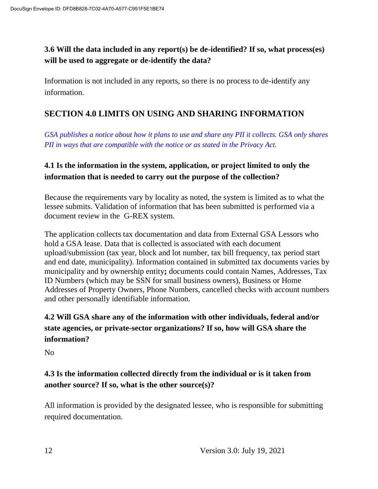**3.6 Will the data included in any report(s) be de-identified? If so, what process(es) will be used to aggregate or de-identify the data?**

Information is not included in any reports, so there is no process to de-identify any information.

### **SECTION 4.0 LIMITS ON USING AND SHARING INFORMATION**

*GSA publishes a notice about how it plans to use and share any PII it collects. GSA only shares PII in ways that are compatible with the notice or as stated in the Privacy Act.*

## **4.1 Is the information in the system, application, or project limited to only the information that is needed to carry out the purpose of the collection?**

Because the requirements vary by locality as noted, the system is limited as to what the lessee submits. Validation of information that has been submitted is performed via a document review in the G-REX system.

The application collects tax documentation and data from External GSA Lessors who hold a GSA lease. Data that is collected is associated with each document upload/submission (tax year, block and lot number, tax bill frequency, tax period start and end date, municipality). Information contained in submitted tax documents varies by municipality and by ownership entity**;** documents could contain Names, Addresses, Tax ID Numbers (which may be SSN for small business owners), Business or Home Addresses of Property Owners, Phone Numbers, cancelled checks with account numbers and other personally identifiable information.

## **4.2 Will GSA share any of the information with other individuals, federal and/or state agencies, or private-sector organizations? If so, how will GSA share the information?**

No

## **4.3 Is the information collected directly from the individual or is it taken from another source? If so, what is the other source(s)?**

All information is provided by the designated lessee, who is responsible for submitting required documentation.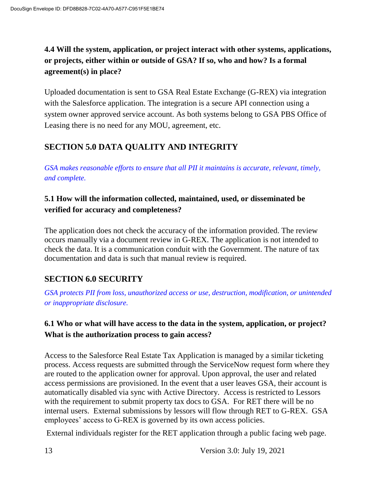## **4.4 Will the system, application, or project interact with other systems, applications, or projects, either within or outside of GSA? If so, who and how? Is a formal agreement(s) in place?**

Uploaded documentation is sent to GSA Real Estate Exchange (G-REX) via integration with the Salesforce application. The integration is a secure API connection using a system owner approved service account. As both systems belong to GSA PBS Office of Leasing there is no need for any MOU, agreement, etc.

## **SECTION 5.0 DATA QUALITY AND INTEGRITY**

*GSA makes reasonable efforts to ensure that all PII it maintains is accurate, relevant, timely, and complete.*

### **5.1 How will the information collected, maintained, used, or disseminated be verified for accuracy and completeness?**

The application does not check the accuracy of the information provided. The review occurs manually via a document review in G-REX. The application is not intended to check the data. It is a communication conduit with the Government. The nature of tax documentation and data is such that manual review is required.

## **SECTION 6.0 SECURITY**

*GSA protects PII from loss, unauthorized access or use, destruction, modification, or unintended or inappropriate disclosure.*

## **6.1 Who or what will have access to the data in the system, application, or project? What is the authorization process to gain access?**

Access to the Salesforce Real Estate Tax Application is managed by a similar ticketing process. Access requests are submitted through the ServiceNow request form where they are routed to the application owner for approval. Upon approval, the user and related access permissions are provisioned. In the event that a user leaves GSA, their account is automatically disabled via sync with Active Directory. Access is restricted to Lessors with the requirement to submit property tax docs to GSA. For RET there will be no internal users. External submissions by lessors will flow through RET to G-REX. GSA employees' access to G-REX is governed by its own access policies.

External individuals register for the RET application through a public facing web page.

13 Version 3.0: July 19, 2021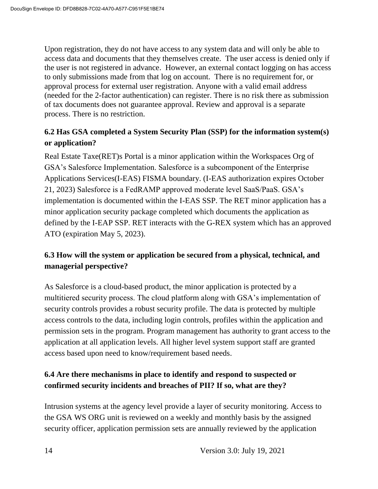Upon registration, they do not have access to any system data and will only be able to access data and documents that they themselves create. The user access is denied only if the user is not registered in advance. However, an external contact logging on has access to only submissions made from that log on account. There is no requirement for, or approval process for external user registration. Anyone with a valid email address (needed for the 2-factor authentication) can register. There is no risk there as submission of tax documents does not guarantee approval. Review and approval is a separate process. There is no restriction.

## **6.2 Has GSA completed a System Security Plan (SSP) for the information system(s) or application?**

Real Estate Taxe(RET)s Portal is a minor application within the Workspaces Org of GSA's Salesforce Implementation. Salesforce is a subcomponent of the Enterprise Applications Services(I-EAS) FISMA boundary. (I-EAS authorization expires October 21, 2023) Salesforce is a FedRAMP approved moderate level SaaS/PaaS. GSA's implementation is documented within the I-EAS SSP. The RET minor application has a minor application security package completed which documents the application as defined by the I-EAP SSP. RET interacts with the G-REX system which has an approved ATO (expiration May 5, 2023).

## **6.3 How will the system or application be secured from a physical, technical, and managerial perspective?**

As Salesforce is a cloud-based product, the minor application is protected by a multitiered security process. The cloud platform along with GSA's implementation of security controls provides a robust security profile. The data is protected by multiple access controls to the data, including login controls, profiles within the application and permission sets in the program. Program management has authority to grant access to the application at all application levels. All higher level system support staff are granted access based upon need to know/requirement based needs.

## **6.4 Are there mechanisms in place to identify and respond to suspected or confirmed security incidents and breaches of PII? If so, what are they?**

Intrusion systems at the agency level provide a layer of security monitoring. Access to the GSA WS ORG unit is reviewed on a weekly and monthly basis by the assigned security officer, application permission sets are annually reviewed by the application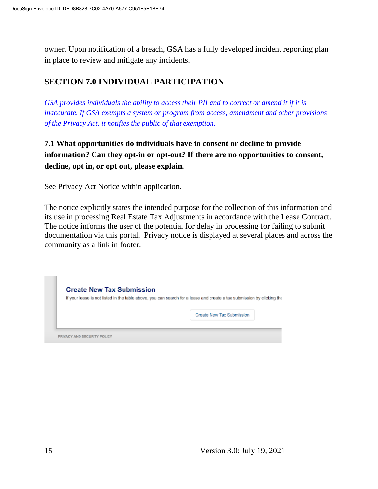owner. Upon notification of a breach, GSA has a fully developed incident reporting plan in place to review and mitigate any incidents.

## **SECTION 7.0 INDIVIDUAL PARTICIPATION**

*GSA provides individuals the ability to access their PII and to correct or amend it if it is inaccurate. If GSA exempts a system or program from access, amendment and other provisions of the Privacy Act, it notifies the public of that exemption.*

**7.1 What opportunities do individuals have to consent or decline to provide information? Can they opt-in or opt-out? If there are no opportunities to consent, decline, opt in, or opt out, please explain.**

See Privacy Act Notice within application.

The notice explicitly states the intended purpose for the collection of this information and its use in processing Real Estate Tax Adjustments in accordance with the Lease Contract. The notice informs the user of the potential for delay in processing for failing to submit documentation via this portal. Privacy notice is displayed at several places and across the community as a link in footer.

|  | If your lease is not listed in the table above, you can search for a lease and create a tax submission by clicking the |
|--|------------------------------------------------------------------------------------------------------------------------|
|  |                                                                                                                        |
|  | Create New Tax Submission                                                                                              |
|  |                                                                                                                        |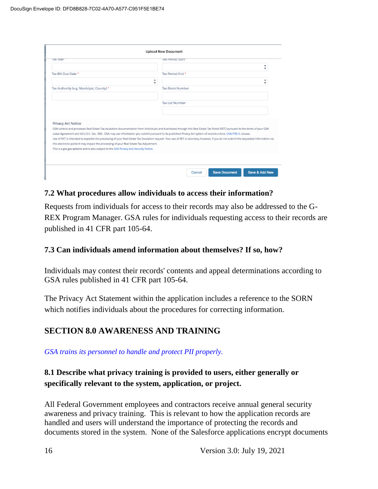| <b>Tax Tear</b>                                                                                                                                                                  | lax Period Start                                                                                                                                                                                                                                                                                                                                                                                                                                                                                                                              |
|----------------------------------------------------------------------------------------------------------------------------------------------------------------------------------|-----------------------------------------------------------------------------------------------------------------------------------------------------------------------------------------------------------------------------------------------------------------------------------------------------------------------------------------------------------------------------------------------------------------------------------------------------------------------------------------------------------------------------------------------|
|                                                                                                                                                                                  | ۰<br>٠                                                                                                                                                                                                                                                                                                                                                                                                                                                                                                                                        |
| Tax Bill Due Date *                                                                                                                                                              | Tax Period End *                                                                                                                                                                                                                                                                                                                                                                                                                                                                                                                              |
|                                                                                                                                                                                  | ٠<br>۰<br>۰<br>۰                                                                                                                                                                                                                                                                                                                                                                                                                                                                                                                              |
| Tax Authority (e.g. Municipal, County) *                                                                                                                                         | <b>Tax Block Number</b>                                                                                                                                                                                                                                                                                                                                                                                                                                                                                                                       |
|                                                                                                                                                                                  | Tax Lot Number                                                                                                                                                                                                                                                                                                                                                                                                                                                                                                                                |
|                                                                                                                                                                                  |                                                                                                                                                                                                                                                                                                                                                                                                                                                                                                                                               |
|                                                                                                                                                                                  |                                                                                                                                                                                                                                                                                                                                                                                                                                                                                                                                               |
| Privacy Act Notice                                                                                                                                                               |                                                                                                                                                                                                                                                                                                                                                                                                                                                                                                                                               |
|                                                                                                                                                                                  | GSA collects and processes Real Estate Tax escalation documentation from incividuals and businesses through this Real Estate Tax Portal (RET) pursuant to the terms of your GSA.<br>Lease Agreement and 40 U.S.C. Sec. 585., GSA may use information you submit pursuant to its published Privacy Act system of records notice, GSA/PBS-5, eLease.<br>Use of RET is intended to expedite the processing of your Real Estate Tax Escalation request. Your use of RET is voluntary, however, if you do not submit the requested information via |
| this electronic portal it may impact the processing of your Real Estate Tax Adjustment.<br>This is a gsa.gov website and is also subject to the GSA Privacy and Security Notice. |                                                                                                                                                                                                                                                                                                                                                                                                                                                                                                                                               |

#### **7.2 What procedures allow individuals to access their information?**

Requests from individuals for access to their records may also be addressed to the G-REX Program Manager. GSA rules for individuals requesting access to their records are published in 41 CFR part 105-64.

#### **7.3 Can individuals amend information about themselves? If so, how?**

Individuals may contest their records' contents and appeal determinations according to GSA rules published in 41 CFR part 105-64.

The Privacy Act Statement within the application includes a reference to the SORN which notifies individuals about the procedures for correcting information.

#### **SECTION 8.0 AWARENESS AND TRAINING**

*GSA trains its personnel to handle and protect PII properly.*

### **8.1 Describe what privacy training is provided to users, either generally or specifically relevant to the system, application, or project.**

All Federal Government employees and contractors receive annual general security awareness and privacy training. This is relevant to how the application records are handled and users will understand the importance of protecting the records and documents stored in the system. None of the Salesforce applications encrypt documents